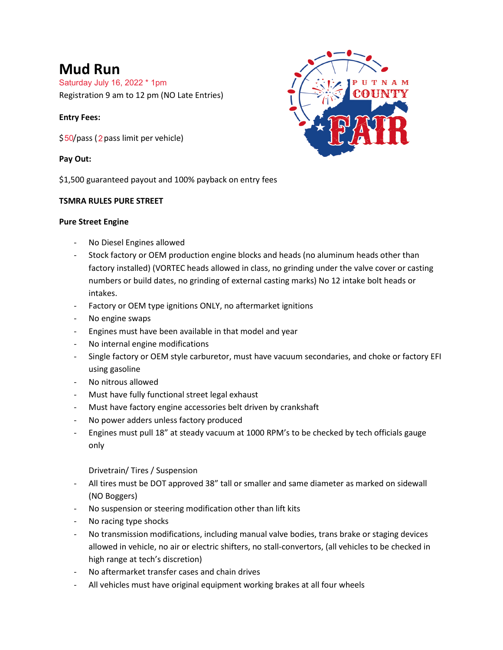# **Mud Run**

Saturday July 16, 2022 \* 1pm

Registration 9 am to 12 pm (NO Late Entries)

# **Entry Fees:**

\$50/pass (2 pass limit per vehicle)

# **Pay Out:**

\$1,500 guaranteed payout and 100% payback on entry fees

# **TSMRA RULES PURE STREET**

# **Pure Street Engine**

- No Diesel Engines allowed
- Stock factory or OEM production engine blocks and heads (no aluminum heads other than factory installed) (VORTEC heads allowed in class, no grinding under the valve cover or casting numbers or build dates, no grinding of external casting marks) No 12 intake bolt heads or intakes.
- Factory or OEM type ignitions ONLY, no aftermarket ignitions
- No engine swaps
- Engines must have been available in that model and year
- No internal engine modifications
- Single factory or OEM style carburetor, must have vacuum secondaries, and choke or factory EFI using gasoline
- No nitrous allowed
- Must have fully functional street legal exhaust
- Must have factory engine accessories belt driven by crankshaft
- No power adders unless factory produced
- Engines must pull 18" at steady vacuum at 1000 RPM's to be checked by tech officials gauge only

Drivetrain/ Tires / Suspension

- All tires must be DOT approved 38" tall or smaller and same diameter as marked on sidewall (NO Boggers)
- No suspension or steering modification other than lift kits
- No racing type shocks
- No transmission modifications, including manual valve bodies, trans brake or staging devices allowed in vehicle, no air or electric shifters, no stall-convertors, (all vehicles to be checked in high range at tech's discretion)
- No aftermarket transfer cases and chain drives
- All vehicles must have original equipment working brakes at all four wheels

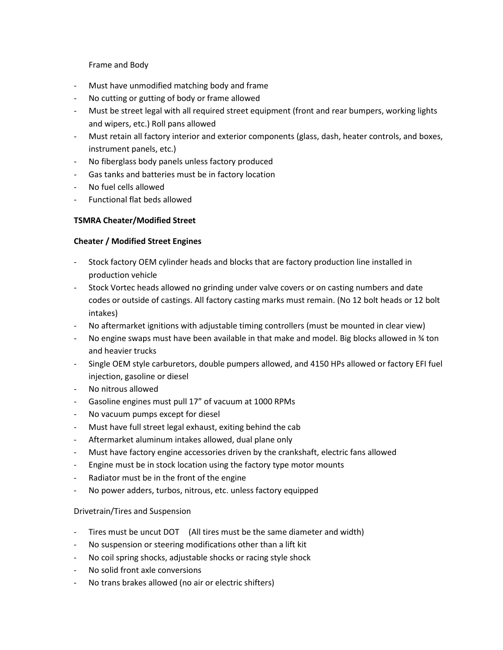Frame and Body

- Must have unmodified matching body and frame
- No cutting or gutting of body or frame allowed
- Must be street legal with all required street equipment (front and rear bumpers, working lights and wipers, etc.) Roll pans allowed
- Must retain all factory interior and exterior components (glass, dash, heater controls, and boxes, instrument panels, etc.)
- No fiberglass body panels unless factory produced
- Gas tanks and batteries must be in factory location
- No fuel cells allowed
- Functional flat beds allowed

# **TSMRA Cheater/Modified Street**

## **Cheater / Modified Street Engines**

- Stock factory OEM cylinder heads and blocks that are factory production line installed in production vehicle
- Stock Vortec heads allowed no grinding under valve covers or on casting numbers and date codes or outside of castings. All factory casting marks must remain. (No 12 bolt heads or 12 bolt intakes)
- No aftermarket ignitions with adjustable timing controllers (must be mounted in clear view)
- No engine swaps must have been available in that make and model. Big blocks allowed in % ton and heavier trucks
- Single OEM style carburetors, double pumpers allowed, and 4150 HPs allowed or factory EFI fuel injection, gasoline or diesel
- No nitrous allowed
- Gasoline engines must pull 17" of vacuum at 1000 RPMs
- No vacuum pumps except for diesel
- Must have full street legal exhaust, exiting behind the cab
- Aftermarket aluminum intakes allowed, dual plane only
- Must have factory engine accessories driven by the crankshaft, electric fans allowed
- Engine must be in stock location using the factory type motor mounts
- Radiator must be in the front of the engine
- No power adders, turbos, nitrous, etc. unless factory equipped

#### Drivetrain/Tires and Suspension

- Tires must be uncut DOT (All tires must be the same diameter and width)
- No suspension or steering modifications other than a lift kit
- No coil spring shocks, adjustable shocks or racing style shock
- No solid front axle conversions
- No trans brakes allowed (no air or electric shifters)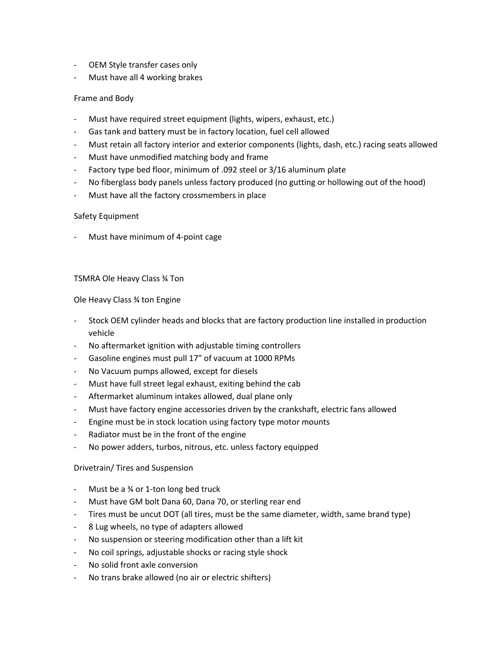- OEM Style transfer cases only
- Must have all 4 working brakes

#### Frame and Body

- Must have required street equipment (lights, wipers, exhaust, etc.)
- Gas tank and battery must be in factory location, fuel cell allowed
- Must retain all factory interior and exterior components (lights, dash, etc.) racing seats allowed
- Must have unmodified matching body and frame
- Factory type bed floor, minimum of .092 steel or 3/16 aluminum plate
- No fiberglass body panels unless factory produced (no gutting or hollowing out of the hood)
- Must have all the factory crossmembers in place

#### Safety Equipment

Must have minimum of 4-point cage

#### TSMRA Ole Heavy Class ¾ Ton

Ole Heavy Class ¾ ton Engine

- Stock OEM cylinder heads and blocks that are factory production line installed in production vehicle
- No aftermarket ignition with adjustable timing controllers
- Gasoline engines must pull 17" of vacuum at 1000 RPMs
- No Vacuum pumps allowed, except for diesels
- Must have full street legal exhaust, exiting behind the cab
- Aftermarket aluminum intakes allowed, dual plane only
- Must have factory engine accessories driven by the crankshaft, electric fans allowed
- Engine must be in stock location using factory type motor mounts
- Radiator must be in the front of the engine
- No power adders, turbos, nitrous, etc. unless factory equipped

#### Drivetrain/ Tires and Suspension

- Must be a  $\frac{3}{4}$  or 1-ton long bed truck
- Must have GM bolt Dana 60, Dana 70, or sterling rear end
- Tires must be uncut DOT (all tires, must be the same diameter, width, same brand type)
- 8 Lug wheels, no type of adapters allowed
- No suspension or steering modification other than a lift kit
- No coil springs, adjustable shocks or racing style shock
- No solid front axle conversion
- No trans brake allowed (no air or electric shifters)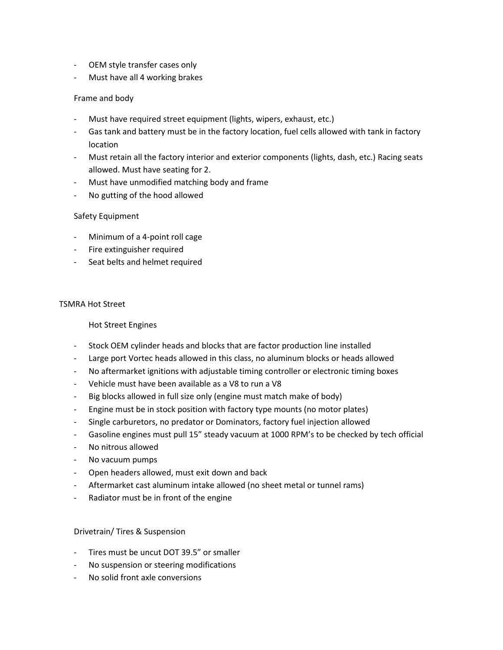- OEM style transfer cases only
- Must have all 4 working brakes

#### Frame and body

- Must have required street equipment (lights, wipers, exhaust, etc.)
- Gas tank and battery must be in the factory location, fuel cells allowed with tank in factory location
- Must retain all the factory interior and exterior components (lights, dash, etc.) Racing seats allowed. Must have seating for 2.
- Must have unmodified matching body and frame
- No gutting of the hood allowed

## Safety Equipment

- Minimum of a 4-point roll cage
- Fire extinguisher required
- Seat belts and helmet required

#### TSMRA Hot Street

#### Hot Street Engines

- Stock OEM cylinder heads and blocks that are factor production line installed
- Large port Vortec heads allowed in this class, no aluminum blocks or heads allowed
- No aftermarket ignitions with adjustable timing controller or electronic timing boxes
- Vehicle must have been available as a V8 to run a V8
- Big blocks allowed in full size only (engine must match make of body)
- Engine must be in stock position with factory type mounts (no motor plates)
- Single carburetors, no predator or Dominators, factory fuel injection allowed
- Gasoline engines must pull 15" steady vacuum at 1000 RPM's to be checked by tech official
- No nitrous allowed
- No vacuum pumps
- Open headers allowed, must exit down and back
- Aftermarket cast aluminum intake allowed (no sheet metal or tunnel rams)
- Radiator must be in front of the engine

#### Drivetrain/ Tires & Suspension

- Tires must be uncut DOT 39.5" or smaller
- No suspension or steering modifications
- No solid front axle conversions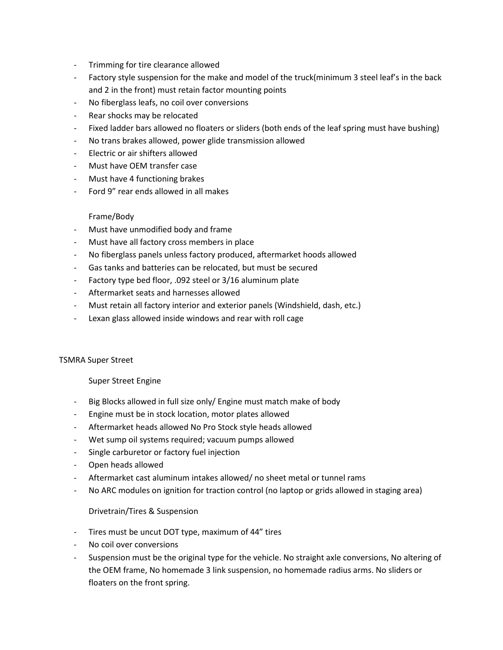- Trimming for tire clearance allowed
- Factory style suspension for the make and model of the truck(minimum 3 steel leaf's in the back and 2 in the front) must retain factor mounting points
- No fiberglass leafs, no coil over conversions
- Rear shocks may be relocated
- Fixed ladder bars allowed no floaters or sliders (both ends of the leaf spring must have bushing)
- No trans brakes allowed, power glide transmission allowed
- Electric or air shifters allowed
- Must have OEM transfer case
- Must have 4 functioning brakes
- Ford 9" rear ends allowed in all makes

#### Frame/Body

- Must have unmodified body and frame
- Must have all factory cross members in place
- No fiberglass panels unless factory produced, aftermarket hoods allowed
- Gas tanks and batteries can be relocated, but must be secured
- Factory type bed floor, .092 steel or 3/16 aluminum plate
- Aftermarket seats and harnesses allowed
- Must retain all factory interior and exterior panels (Windshield, dash, etc.)
- Lexan glass allowed inside windows and rear with roll cage

#### TSMRA Super Street

Super Street Engine

- Big Blocks allowed in full size only/ Engine must match make of body
- Engine must be in stock location, motor plates allowed
- Aftermarket heads allowed No Pro Stock style heads allowed
- Wet sump oil systems required; vacuum pumps allowed
- Single carburetor or factory fuel injection
- Open heads allowed
- Aftermarket cast aluminum intakes allowed/ no sheet metal or tunnel rams
- No ARC modules on ignition for traction control (no laptop or grids allowed in staging area)

#### Drivetrain/Tires & Suspension

- Tires must be uncut DOT type, maximum of 44" tires
- No coil over conversions
- Suspension must be the original type for the vehicle. No straight axle conversions, No altering of the OEM frame, No homemade 3 link suspension, no homemade radius arms. No sliders or floaters on the front spring.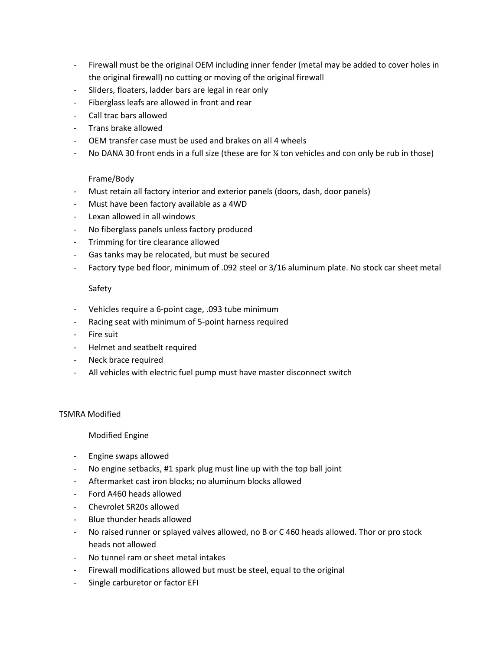- Firewall must be the original OEM including inner fender (metal may be added to cover holes in the original firewall) no cutting or moving of the original firewall
- Sliders, floaters, ladder bars are legal in rear only
- Fiberglass leafs are allowed in front and rear
- Call trac bars allowed
- Trans brake allowed
- OEM transfer case must be used and brakes on all 4 wheels
- No DANA 30 front ends in a full size (these are for % ton vehicles and con only be rub in those)

## Frame/Body

- Must retain all factory interior and exterior panels (doors, dash, door panels)
- Must have been factory available as a 4WD
- Lexan allowed in all windows
- No fiberglass panels unless factory produced
- Trimming for tire clearance allowed
- Gas tanks may be relocated, but must be secured
- Factory type bed floor, minimum of .092 steel or 3/16 aluminum plate. No stock car sheet metal

#### Safety

- Vehicles require a 6-point cage, .093 tube minimum
- Racing seat with minimum of 5-point harness required
- Fire suit
- Helmet and seatbelt required
- Neck brace required
- All vehicles with electric fuel pump must have master disconnect switch

#### TSMRA Modified

#### Modified Engine

- Engine swaps allowed
- No engine setbacks, #1 spark plug must line up with the top ball joint
- Aftermarket cast iron blocks; no aluminum blocks allowed
- Ford A460 heads allowed
- Chevrolet SR20s allowed
- Blue thunder heads allowed
- No raised runner or splayed valves allowed, no B or C 460 heads allowed. Thor or pro stock heads not allowed
- No tunnel ram or sheet metal intakes
- Firewall modifications allowed but must be steel, equal to the original
- Single carburetor or factor EFI